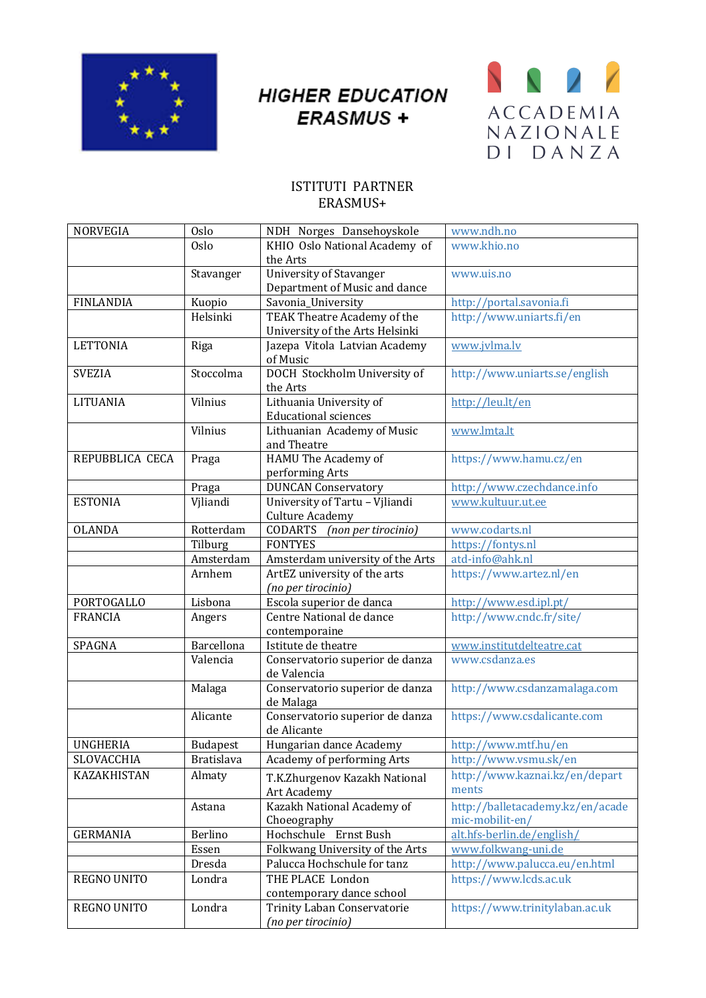

## **HIGHER EDUCATION ERASMUS +**



## ISTITUTI PARTNER ERASMUS+

| <b>NORVEGIA</b>   | Oslo              | NDH Norges Dansehoyskole                               | www.ndh.no                                          |
|-------------------|-------------------|--------------------------------------------------------|-----------------------------------------------------|
|                   | Oslo              | KHIO Oslo National Academy of                          | www.khio.no                                         |
|                   |                   | the Arts                                               |                                                     |
|                   | Stavanger         | <b>University of Stavanger</b>                         | www.uis.no                                          |
|                   |                   | Department of Music and dance                          |                                                     |
| <b>FINLANDIA</b>  | Kuopio            | Savonia_University                                     | http://portal.savonia.fi                            |
|                   | Helsinki          | TEAK Theatre Academy of the                            | http://www.uniarts.fi/en                            |
|                   |                   | University of the Arts Helsinki                        |                                                     |
| <b>LETTONIA</b>   | Riga              | Jazepa Vitola Latvian Academy<br>of Music              | www.jvlma.lv                                        |
| <b>SVEZIA</b>     | Stoccolma         | DOCH Stockholm University of<br>the Arts               | http://www.uniarts.se/english                       |
| <b>LITUANIA</b>   | Vilnius           | Lithuania University of<br><b>Educational sciences</b> | http://leu.lt/en                                    |
|                   | Vilnius           | Lithuanian Academy of Music<br>and Theatre             | www.lmta.lt                                         |
| REPUBBLICA CECA   | Praga             | HAMU The Academy of<br>performing Arts                 | https://www.hamu.cz/en                              |
|                   | Praga             | <b>DUNCAN Conservatory</b>                             | http://www.czechdance.info                          |
| <b>ESTONIA</b>    | Vjliandi          | University of Tartu - Vjliandi                         | www.kultuur.ut.ee                                   |
|                   |                   | <b>Culture Academy</b>                                 |                                                     |
| <b>OLANDA</b>     | Rotterdam         | CODARTS (non per tirocinio)                            | www.codarts.nl                                      |
|                   | Tilburg           | <b>FONTYES</b>                                         | https://fontys.nl                                   |
|                   | Amsterdam         | Amsterdam university of the Arts                       | atd-info@ahk.nl                                     |
|                   | Arnhem            | ArtEZ university of the arts                           | https://www.artez.nl/en                             |
|                   |                   | (no per tirocinio)                                     |                                                     |
| <b>PORTOGALLO</b> | Lisbona           | Escola superior de danca                               | http://www.esd.ipl.pt/                              |
| <b>FRANCIA</b>    | Angers            | Centre National de dance<br>contemporaine              | http://www.cndc.fr/site/                            |
| SPAGNA            | Barcellona        | Istitute de theatre                                    | www.institutdelteatre.cat                           |
|                   | Valencia          | Conservatorio superior de danza<br>de Valencia         | www.csdanza.es                                      |
|                   | Malaga            | Conservatorio superior de danza<br>de Malaga           | http://www.csdanzamalaga.com                        |
|                   | Alicante          | Conservatorio superior de danza<br>de Alicante         | https://www.csdalicante.com                         |
| <b>UNGHERIA</b>   | <b>Budapest</b>   | Hungarian dance Academy                                | http://www.mtf.hu/en                                |
| SLOVACCHIA        | <b>Bratislava</b> | Academy of performing Arts                             | http://www.vsmu.sk/en                               |
| KAZAKHISTAN       | Almaty            | T.K.Zhurgenov Kazakh National<br>Art Academy           | http://www.kaznai.kz/en/depart<br>ments             |
|                   | Astana            | Kazakh National Academy of<br>Choeography              | http://balletacademy.kz/en/acade<br>mic-mobilit-en/ |
| <b>GERMANIA</b>   | Berlino           | Ernst Bush<br>Hochschule                               | alt.hfs-berlin.de/english/                          |
|                   | Essen             | Folkwang University of the Arts                        | www.folkwang-uni.de                                 |
|                   | Dresda            | Palucca Hochschule for tanz                            | http://www.palucca.eu/en.html                       |
|                   |                   | THE PLACE London                                       | https://www.lcds.ac.uk                              |
| REGNO UNITO       | Londra            | contemporary dance school                              |                                                     |
| REGNO UNITO       | Londra            | <b>Trinity Laban Conservatorie</b>                     | https://www.trinitylaban.ac.uk                      |
|                   |                   | (no per tirocinio)                                     |                                                     |